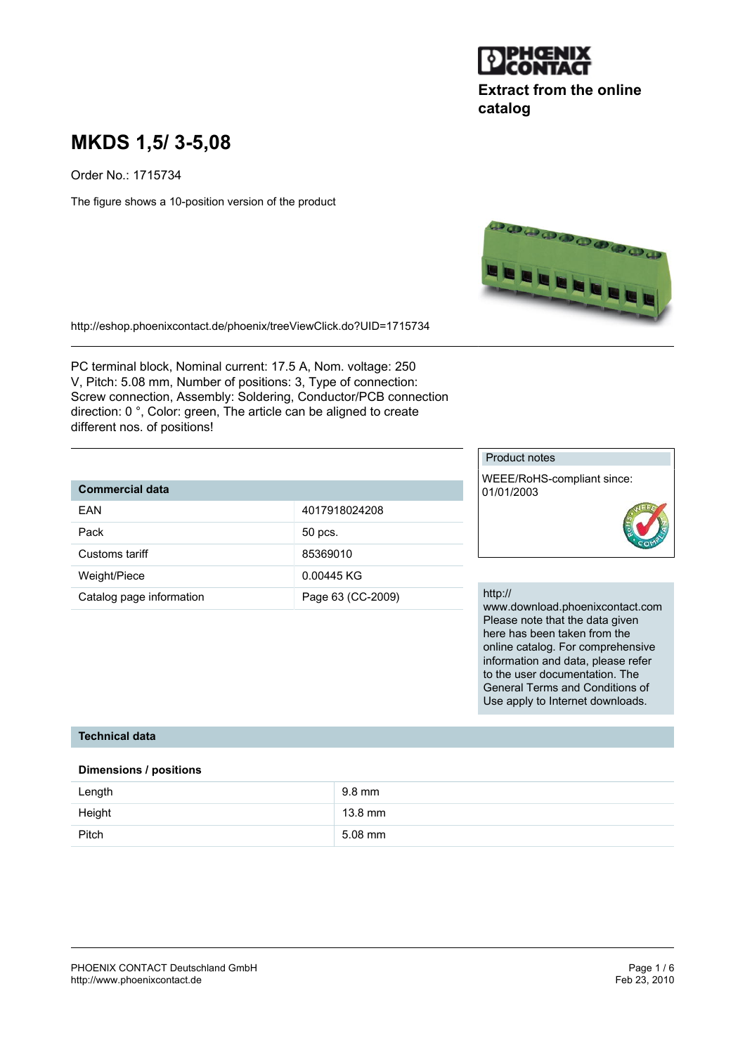

# **Extract from the online catalog**

# **MKDS 1,5/ 3-5,08**

Order No.: 1715734

The figure shows a 10-position version of the product



http://eshop.phoenixcontact.de/phoenix/treeViewClick.do?UID=1715734

PC terminal block, Nominal current: 17.5 A, Nom. voltage: 250 V, Pitch: 5.08 mm, Number of positions: 3, Type of connection: Screw connection, Assembly: Soldering, Conductor/PCB connection direction: 0 °, Color: green, The article can be aligned to create different nos. of positions!

## **Commercial data**

| FAN                      | 4017918024208     |
|--------------------------|-------------------|
| Pack                     | 50 pcs.           |
| Customs tariff           | 85369010          |
| Weight/Piece             | 0.00445 KG        |
| Catalog page information | Page 63 (CC-2009) |

#### Product notes

WEEE/RoHS-compliant since: 01/01/2003



#### http://

www.download.phoenixcontact.com Please note that the data given here has been taken from the online catalog. For comprehensive information and data, please refer to the user documentation. The General Terms and Conditions of Use apply to Internet downloads.

## **Technical data**

#### **Dimensions / positions**

| Length | 9.8 mm    |
|--------|-----------|
| Height | 13.8 mm   |
| Pitch  | $5.08$ mm |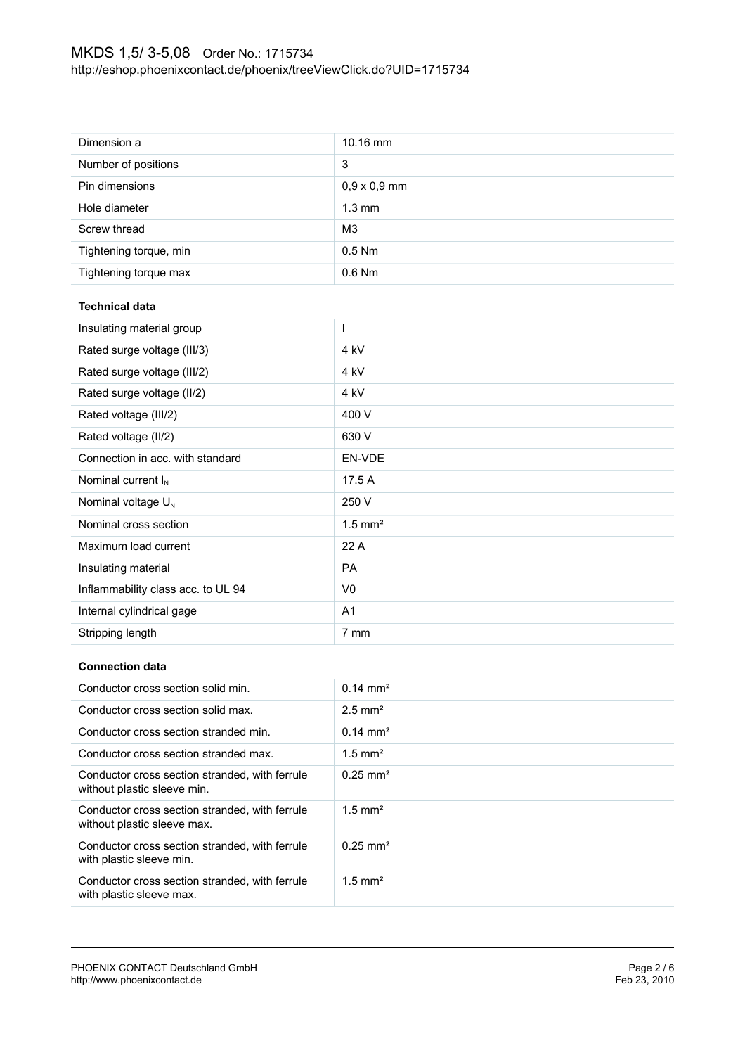| Dimension a                        | 10.16 mm              |
|------------------------------------|-----------------------|
| Number of positions                | 3                     |
| Pin dimensions                     | $0,9 \times 0,9$ mm   |
| Hole diameter                      | $1.3 \text{ mm}$      |
| Screw thread                       | M <sub>3</sub>        |
| Tightening torque, min             | 0.5 Nm                |
| Tightening torque max              | 0.6 Nm                |
| <b>Technical data</b>              |                       |
| Insulating material group          | $\mathbf{I}$          |
| Rated surge voltage (III/3)        | 4 kV                  |
| Rated surge voltage (III/2)        | 4 kV                  |
| Rated surge voltage (II/2)         | 4 kV                  |
| Rated voltage (III/2)              | 400 V                 |
| Rated voltage (II/2)               | 630 V                 |
| Connection in acc. with standard   | EN-VDE                |
| Nominal current $I_N$              | 17.5 A                |
| Nominal voltage U <sub>N</sub>     | 250 V                 |
| Nominal cross section              | $1.5$ mm <sup>2</sup> |
| Maximum load current               | 22 A                  |
| Insulating material                | PA                    |
| Inflammability class acc. to UL 94 | V <sub>0</sub>        |
| Internal cylindrical gage          | A <sub>1</sub>        |
| Stripping length                   | 7 mm                  |
|                                    |                       |

# **Connection data**

| Conductor cross section solid min.                                            | $0.14 \text{ mm}^2$   |
|-------------------------------------------------------------------------------|-----------------------|
| Conductor cross section solid max.                                            | $2.5$ mm <sup>2</sup> |
| Conductor cross section stranded min.                                         | $0.14 \text{ mm}^2$   |
| Conductor cross section stranded max.                                         | $1.5$ mm <sup>2</sup> |
| Conductor cross section stranded, with ferrule<br>without plastic sleeve min. | $0.25 \text{ mm}^2$   |
| Conductor cross section stranded, with ferrule<br>without plastic sleeve max. | $1.5 \text{ mm}^2$    |
| Conductor cross section stranded, with ferrule<br>with plastic sleeve min.    | $0.25 \text{ mm}^2$   |
| Conductor cross section stranded, with ferrule<br>with plastic sleeve max.    | $1.5$ mm <sup>2</sup> |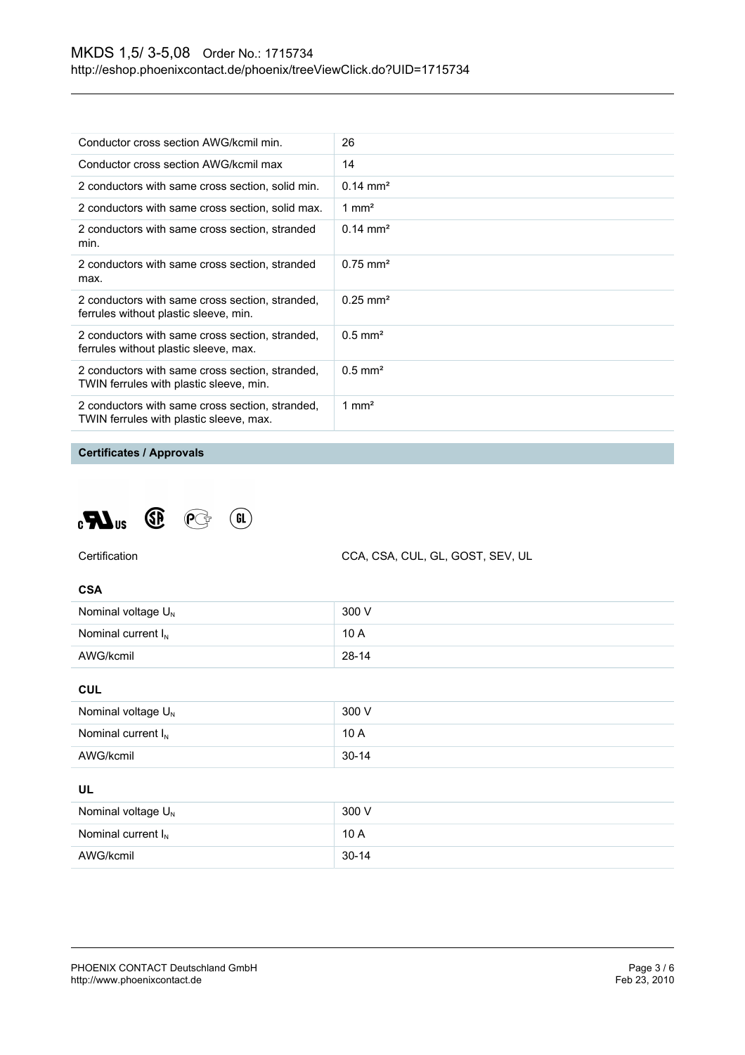| Conductor cross section AWG/kcmil min.                                                     | 26                     |
|--------------------------------------------------------------------------------------------|------------------------|
| Conductor cross section AWG/kcmil max                                                      | 14                     |
| 2 conductors with same cross section, solid min.                                           | $0.14 \text{ mm}^2$    |
| 2 conductors with same cross section, solid max.                                           | 1 mm <sup>2</sup>      |
| 2 conductors with same cross section, stranded<br>min.                                     | $0.14 \text{ mm}^2$    |
| 2 conductors with same cross section, stranded<br>max.                                     | $0.75$ mm <sup>2</sup> |
| 2 conductors with same cross section, stranded,<br>ferrules without plastic sleeve, min.   | $0.25 \text{ mm}^2$    |
| 2 conductors with same cross section, stranded,<br>ferrules without plastic sleeve, max.   | $0.5$ mm <sup>2</sup>  |
| 2 conductors with same cross section, stranded,<br>TWIN ferrules with plastic sleeve, min. | $0.5$ mm <sup>2</sup>  |
| 2 conductors with same cross section, stranded,<br>TWIN ferrules with plastic sleeve, max. | 1 mm <sup>2</sup>      |

# **Certificates / Approvals**





CCA, CSA, CUL, GL, GOST, SEV, UL

#### **CSA**

| Nominal voltage $U_{N}$ | 300 V     |
|-------------------------|-----------|
| Nominal current $I_{N}$ | 10A       |
| AWG/kcmil               | $28 - 14$ |

**CUL**

| Nominal voltage $U_{N}$ | 300 V   |
|-------------------------|---------|
| Nominal current $I_{N}$ | 10A     |
| AWG/kcmil               | $30-14$ |

# **UL**

| Nominal voltage $U_{N}$ | 300 V     |
|-------------------------|-----------|
| Nominal current $I_{N}$ | 10A       |
| AWG/kcmil               | $30 - 14$ |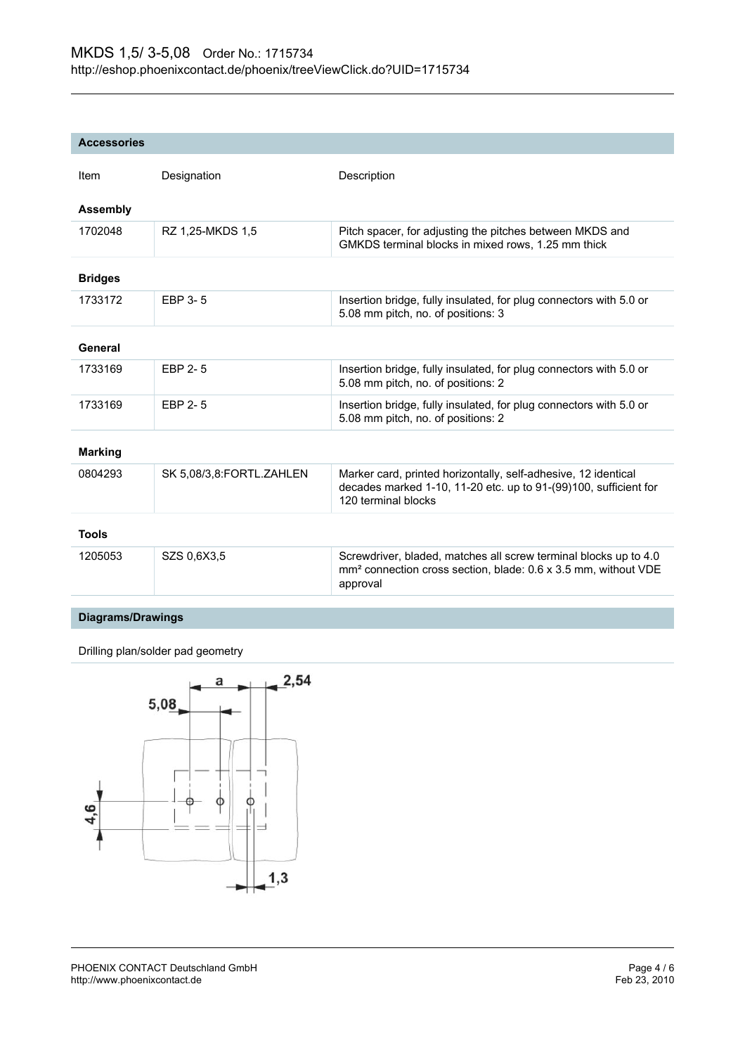| <b>Accessories</b> |                          |                                                                                                                                                            |
|--------------------|--------------------------|------------------------------------------------------------------------------------------------------------------------------------------------------------|
| Item               | Designation              | Description                                                                                                                                                |
| <b>Assembly</b>    |                          |                                                                                                                                                            |
| 1702048            | RZ 1,25-MKDS 1,5         | Pitch spacer, for adjusting the pitches between MKDS and<br>GMKDS terminal blocks in mixed rows, 1.25 mm thick                                             |
| <b>Bridges</b>     |                          |                                                                                                                                                            |
| 1733172            | EBP 3-5                  | Insertion bridge, fully insulated, for plug connectors with 5.0 or<br>5.08 mm pitch, no. of positions: 3                                                   |
| General            |                          |                                                                                                                                                            |
| 1733169            | EBP 2-5                  | Insertion bridge, fully insulated, for plug connectors with 5.0 or<br>5.08 mm pitch, no. of positions: 2                                                   |
| 1733169            | EBP 2-5                  | Insertion bridge, fully insulated, for plug connectors with 5.0 or<br>5.08 mm pitch, no. of positions: 2                                                   |
| <b>Marking</b>     |                          |                                                                                                                                                            |
| 0804293            | SK 5,08/3,8:FORTL.ZAHLEN | Marker card, printed horizontally, self-adhesive, 12 identical<br>decades marked 1-10, 11-20 etc. up to 91-(99)100, sufficient for<br>120 terminal blocks  |
| <b>Tools</b>       |                          |                                                                                                                                                            |
| 1205053            | SZS 0,6X3,5              | Screwdriver, bladed, matches all screw terminal blocks up to 4.0<br>mm <sup>2</sup> connection cross section, blade: 0.6 x 3.5 mm, without VDE<br>approval |

## **Diagrams/Drawings**

Drilling plan/solder pad geometry

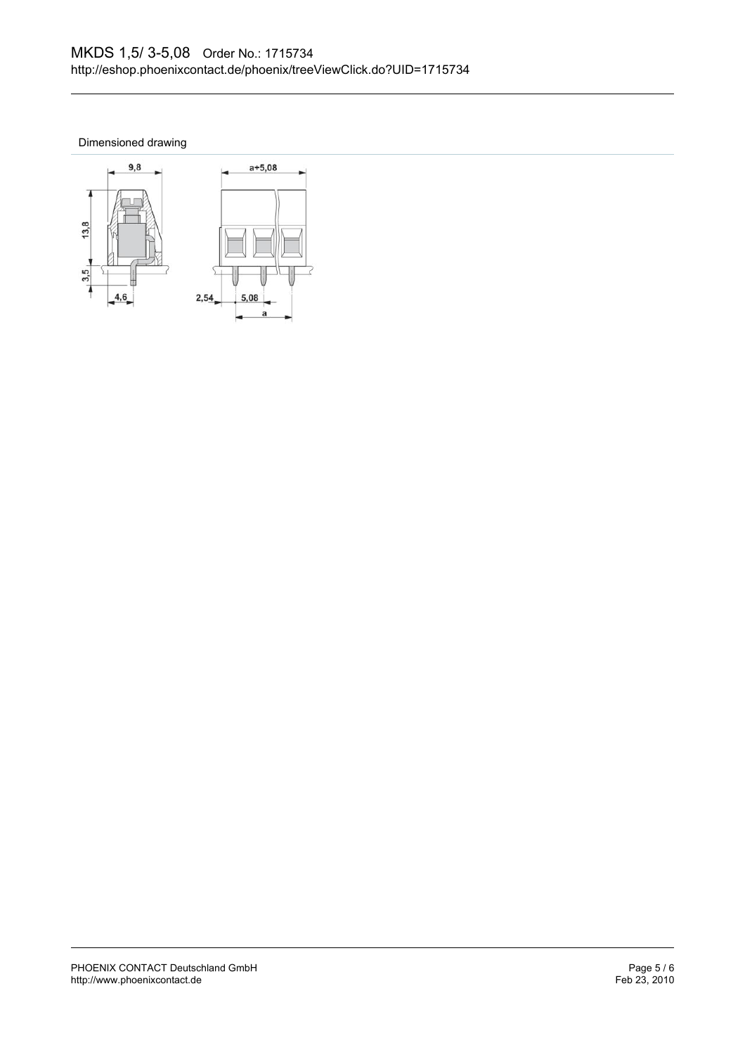Dimensioned drawing